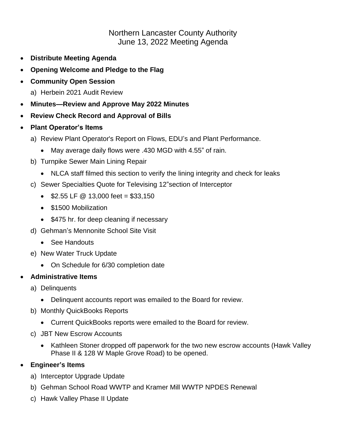# Northern Lancaster County Authority June 13, 2022 Meeting Agenda

- **Distribute Meeting Agenda**
- **Opening Welcome and Pledge to the Flag**
- **Community Open Session**
	- a) Herbein 2021 Audit Review
- **Minutes—Review and Approve May 2022 Minutes**
- **Review Check Record and Approval of Bills**
- **Plant Operator's Items**
	- a) Review Plant Operator's Report on Flows, EDU's and Plant Performance.
		- May average daily flows were .430 MGD with 4.55" of rain.
	- b) Turnpike Sewer Main Lining Repair
		- NLCA staff filmed this section to verify the lining integrity and check for leaks
	- c) Sewer Specialties Quote for Televising 12"section of Interceptor
		- $$2.55$  LF @ 13,000 feet = \$33,150
		- \$1500 Mobilization
		- \$475 hr. for deep cleaning if necessary
	- d) Gehman's Mennonite School Site Visit
		- See Handouts
	- e) New Water Truck Update
		- On Schedule for 6/30 completion date

### • **Administrative Items**

- a) Delinquents
	- Delinquent accounts report was emailed to the Board for review.
- b) Monthly QuickBooks Reports
	- Current QuickBooks reports were emailed to the Board for review.
- c) JBT New Escrow Accounts
	- Kathleen Stoner dropped off paperwork for the two new escrow accounts (Hawk Valley Phase II & 128 W Maple Grove Road) to be opened.

## • **Engineer's Items**

- a) Interceptor Upgrade Update
- b) Gehman School Road WWTP and Kramer Mill WWTP NPDES Renewal
- c) Hawk Valley Phase II Update